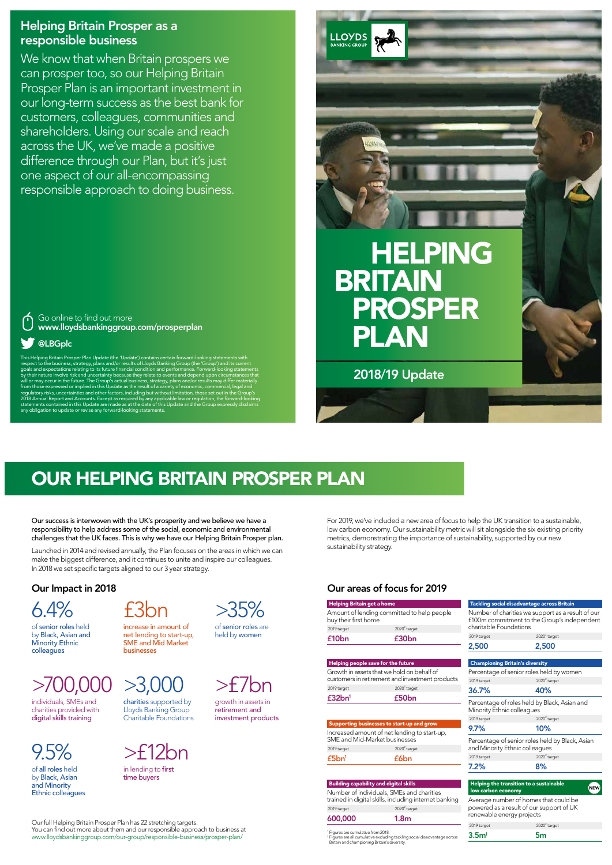## Helping Britain Prosper as a responsible business

We know that when Britain prospers we can prosper too, so our Helping Britain Prosper Plan is an important investment in our long-term success as the best bank for customers, colleagues, communities and shareholders. Using our scale and reach across the UK, we've made a positive difference through our Plan, but it's just one aspect of our all-encompassing responsible approach to doing business.

This Helping Britain Prosper Plan Update (the 'Update') contains certain forward-looking statements with respect to the business, strategy, plans and/or results of Lloyds Banking Group (the 'Group') and its current goals and expectations relating to its future financial condition and performance. Forward-looking statements , their nature involve risk and uncertainty because they relate to events and  $\alpha$ l or may occur in the future. The Group's actual business, strategy,  $\mathfrak p$ om those expressed or implied in this Update as the result of a va regulatory risks, uncertainties and other factors, including but without limitation, th 2018 Annual Report and Accounts. Except as required by any applicable law or regulation, the forward-looking statements contained in this Update are made as at the date of this Update and the Group expressly disclaims any obligation to update or revise any forward-looking statements.

## >700,000  $>3,00$

#### Go online to find out more www.lloydsbankinggroup.com/prosperplan

## @LBGplc

2018/19 Update

**LLOYDS BANKING GROUP** 

# HELPING BRITAIN PROSPER PLAN

# OUR HELPING BRITAIN PROSPER PLAN

Our success is interwoven with the UK's prosperity and we believe we have a responsibility to help address some of the social, economic and environmental challenges that the UK faces. This is why we have our Helping Britain Prosper plan.

Launched in 2014 and revised annually, the Plan focuses on the areas in which we can make the biggest difference, and it continues to unite and inspire our colleagues. In 2018 we set specific targets aligned to our 3 year strategy.

For 2019, we've included a new area of focus to help the UK transition to a sustainable, low carbon economy. Our sustainability metric will sit alongside the six existing priority metrics, demonstrating the importance of sustainability, supported by our new sustainability strategy.

### Our Impact in 2018



of senior roles held by Black, Asian and Minority Ethnic colleagues

£3bn increase in amount of net lending to start-up, SME and Mid Market

businesses



of senior roles are held by women

individuals, SMEs and charities provided with digital skills training





growth in assets in retirement and investment products

9.5%

of all roles held by Black, Asian and Minority Ethnic colleagues



in lending to first time buyers

Our full Helping Britain Prosper Plan has 22 stretching targets. You can find out more about them and our responsible approach to business at www.lloydsbankinggroup.com/our-group/responsible-business/prosper-plan/

### Our areas of focus for 2019

#### Championing Britain's diversity Percentage of senior roles held by women 2019 target  $2020^2$  target 36.7% 40% Percentage of roles held by Black, Asian and Minority Ethnic colleagues 2019 target  $2020<sup>2</sup>$  target 9.7% 10% Percentage of senior roles held by Black, Asian and Minority Ethnic colleagues 2019 target  $2020<sup>2</sup>$  target 7.2% 8%

| Helping Britain get a home                                         |                | Tackling social disadvantage across Britain                                                      |                |
|--------------------------------------------------------------------|----------------|--------------------------------------------------------------------------------------------------|----------------|
| Amount of lending committed to help people<br>buy their first home |                | Number of charities we support as a result of our<br>£100m commitment to the Group's independent |                |
| 2019 target                                                        | $20202$ target | charitable Foundations                                                                           |                |
| £10 <sub>bn</sub>                                                  | £30bn          | 2019 target                                                                                      | $20202$ target |
|                                                                    |                | 2,500                                                                                            | 2,500          |

| low carbon economy                       |
|------------------------------------------|
| Average number of homes that could be    |
| powered as a result of our support of UK |
| renewable energy projects                |

**NEW** 

| 2019 target       | $20202$ target |
|-------------------|----------------|
| 3.5 <sup>n1</sup> | 5 <sub>m</sub> |

the transition to a sustai

#### Helping people save for the future

Growth in assets that we hold on behalf of customers in retirement and investment products 2019 target  $2020<sup>2</sup>$  target £32bn1 £50bn

| SMF and Mid-Market businesses | Increased amount of net lending to start-up,                                                       |
|-------------------------------|----------------------------------------------------------------------------------------------------|
| 2019 target                   | $20202$ target                                                                                     |
| £5bn <sup>1</sup>             | f6bn                                                                                               |
|                               |                                                                                                    |
|                               | <b>Building capability and digital skills</b>                                                      |
|                               | Number of individuals, SMEs and charities<br>trained in digital skills, including internet banking |
| 2019 target                   | $20202$ target                                                                                     |

1 Figures are cumulative from 2018. 2 Figures are all cumulative excluding tackling social disadvantage across Britain and championing Britain's diversity.